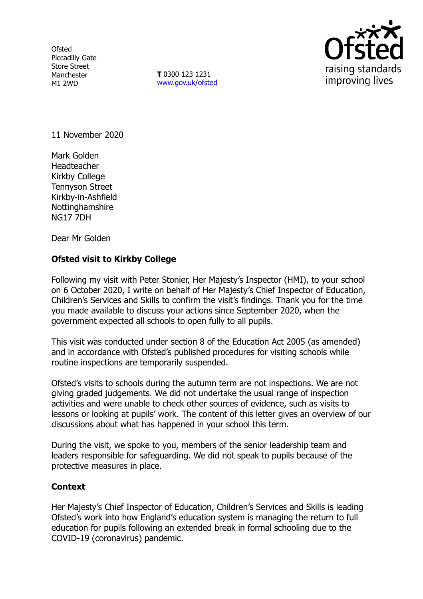**Ofsted** Piccadilly Gate Store Street Manchester M1 2WD

**T** 0300 123 1231 [www.gov.uk/ofsted](http://www.gov.uk/ofsted)



11 November 2020

Mark Golden Headteacher Kirkby College Tennyson Street Kirkby-in-Ashfield Nottinghamshire NG17 7DH

Dear Mr Golden

## **Ofsted visit to Kirkby College**

Following my visit with Peter Stonier, Her Majesty's Inspector (HMI), to your school on 6 October 2020, I write on behalf of Her Majesty's Chief Inspector of Education, Children's Services and Skills to confirm the visit's findings. Thank you for the time you made available to discuss your actions since September 2020, when the government expected all schools to open fully to all pupils.

This visit was conducted under section 8 of the Education Act 2005 (as amended) and in accordance with Ofsted's published procedures for visiting schools while routine inspections are temporarily suspended.

Ofsted's visits to schools during the autumn term are not inspections. We are not giving graded judgements. We did not undertake the usual range of inspection activities and were unable to check other sources of evidence, such as visits to lessons or looking at pupils' work. The content of this letter gives an overview of our discussions about what has happened in your school this term.

During the visit, we spoke to you, members of the senior leadership team and leaders responsible for safeguarding. We did not speak to pupils because of the protective measures in place.

## **Context**

Her Majesty's Chief Inspector of Education, Children's Services and Skills is leading Ofsted's work into how England's education system is managing the return to full education for pupils following an extended break in formal schooling due to the COVID-19 (coronavirus) pandemic.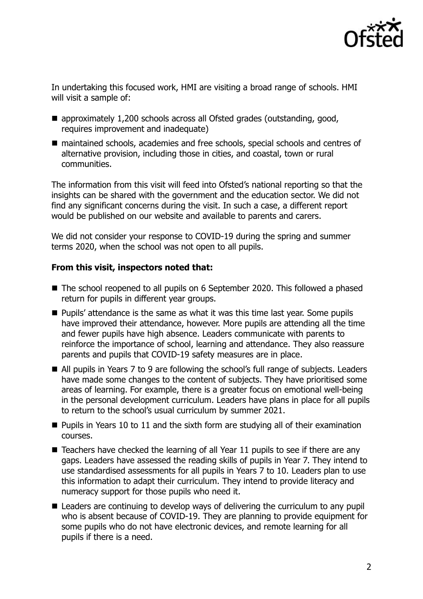

In undertaking this focused work, HMI are visiting a broad range of schools. HMI will visit a sample of:

- approximately 1,200 schools across all Ofsted grades (outstanding, good, requires improvement and inadequate)
- maintained schools, academies and free schools, special schools and centres of alternative provision, including those in cities, and coastal, town or rural communities.

The information from this visit will feed into Ofsted's national reporting so that the insights can be shared with the government and the education sector. We did not find any significant concerns during the visit. In such a case, a different report would be published on our website and available to parents and carers.

We did not consider your response to COVID-19 during the spring and summer terms 2020, when the school was not open to all pupils.

## **From this visit, inspectors noted that:**

- The school reopened to all pupils on 6 September 2020. This followed a phased return for pupils in different year groups.
- **Pupils' attendance is the same as what it was this time last year. Some pupils** have improved their attendance, however. More pupils are attending all the time and fewer pupils have high absence. Leaders communicate with parents to reinforce the importance of school, learning and attendance. They also reassure parents and pupils that COVID-19 safety measures are in place.
- All pupils in Years 7 to 9 are following the school's full range of subjects. Leaders have made some changes to the content of subjects. They have prioritised some areas of learning. For example, there is a greater focus on emotional well-being in the personal development curriculum. Leaders have plans in place for all pupils to return to the school's usual curriculum by summer 2021.
- $\blacksquare$  Pupils in Years 10 to 11 and the sixth form are studying all of their examination courses.
- $\blacksquare$  Teachers have checked the learning of all Year 11 pupils to see if there are any gaps. Leaders have assessed the reading skills of pupils in Year 7. They intend to use standardised assessments for all pupils in Years 7 to 10. Leaders plan to use this information to adapt their curriculum. They intend to provide literacy and numeracy support for those pupils who need it.
- Leaders are continuing to develop ways of delivering the curriculum to any pupil who is absent because of COVID-19. They are planning to provide equipment for some pupils who do not have electronic devices, and remote learning for all pupils if there is a need.